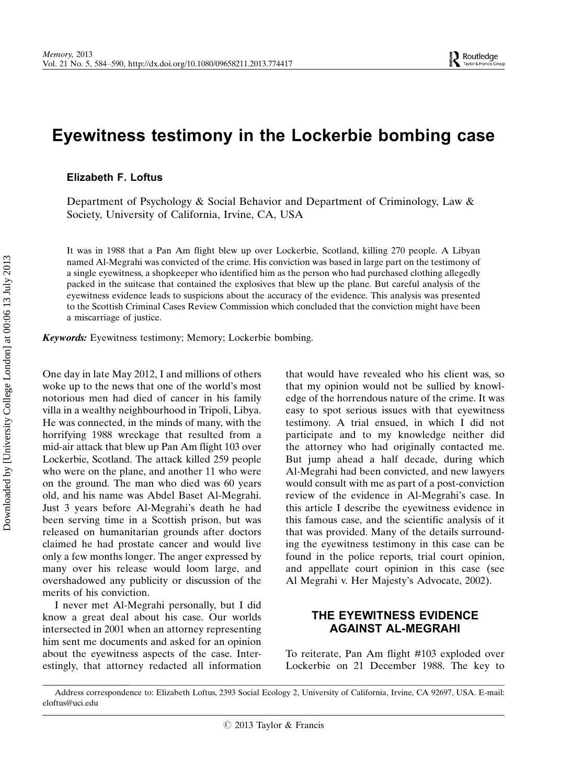# Eyewitness testimony in the Lockerbie bombing case

Elizabeth F. Loftus

Department of Psychology & Social Behavior and Department of Criminology, Law & Society, University of California, Irvine, CA, USA

It was in 1988 that a Pan Am flight blew up over Lockerbie, Scotland, killing 270 people. A Libyan named Al-Megrahi was convicted of the crime. His conviction was based in large part on the testimony of a single eyewitness, a shopkeeper who identified him as the person who had purchased clothing allegedly packed in the suitcase that contained the explosives that blew up the plane. But careful analysis of the eyewitness evidence leads to suspicions about the accuracy of the evidence. This analysis was presented to the Scottish Criminal Cases Review Commission which concluded that the conviction might have been a miscarriage of justice.

Keywords: Eyewitness testimony; Memory; Lockerbie bombing.

One day in late May 2012, I and millions of others woke up to the news that one of the world's most notorious men had died of cancer in his family villa in a wealthy neighbourhood in Tripoli, Libya. He was connected, in the minds of many, with the horrifying 1988 wreckage that resulted from a mid-air attack that blew up Pan Am flight 103 over Lockerbie, Scotland. The attack killed 259 people who were on the plane, and another 11 who were on the ground. The man who died was 60 years old, and his name was Abdel Baset Al-Megrahi. Just 3 years before Al-Megrahi's death he had been serving time in a Scottish prison, but was released on humanitarian grounds after doctors claimed he had prostate cancer and would live only a few months longer. The anger expressed by many over his release would loom large, and overshadowed any publicity or discussion of the merits of his conviction.

I never met Al-Megrahi personally, but I did know a great deal about his case. Our worlds intersected in 2001 when an attorney representing him sent me documents and asked for an opinion about the eyewitness aspects of the case. Interestingly, that attorney redacted all information that would have revealed who his client was, so that my opinion would not be sullied by knowledge of the horrendous nature of the crime. It was easy to spot serious issues with that eyewitness testimony. A trial ensued, in which I did not participate and to my knowledge neither did the attorney who had originally contacted me. But jump ahead a half decade, during which Al-Megrahi had been convicted, and new lawyers would consult with me as part of a post-conviction review of the evidence in Al-Megrahi's case. In this article I describe the eyewitness evidence in this famous case, and the scientific analysis of it that was provided. Many of the details surrounding the eyewitness testimony in this case can be found in the police reports, trial court opinion, and appellate court opinion in this case (see Al Megrahi v. Her Majesty's Advocate, 2002).

## THE EYEWITNESS EVIDENCE AGAINST AL-MEGRAHI

To reiterate, Pan Am flight #103 exploded over Lockerbie on 21 December 1988. The key to

Address correspondence to: Elizabeth Loftus, 2393 Social Ecology 2, University of California, Irvine, CA 92697, USA. E-mail: eloftus@uci.edu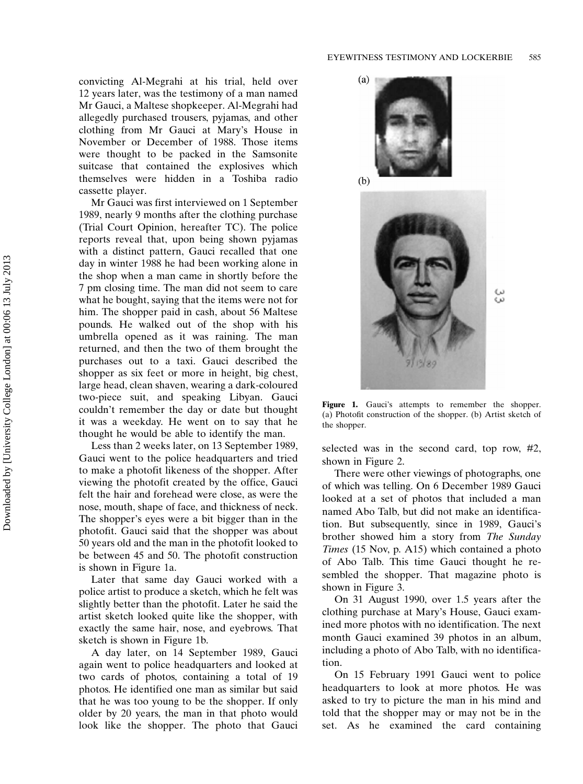convicting Al-Megrahi at his trial, held over 12 years later, was the testimony of a man named Mr Gauci, a Maltese shopkeeper. Al-Megrahi had allegedly purchased trousers, pyjamas, and other clothing from Mr Gauci at Mary's House in November or December of 1988. Those items were thought to be packed in the Samsonite suitcase that contained the explosives which themselves were hidden in a Toshiba radio cassette player.

Mr Gauci was first interviewed on 1 September 1989, nearly 9 months after the clothing purchase (Trial Court Opinion, hereafter TC). The police reports reveal that, upon being shown pyjamas with a distinct pattern, Gauci recalled that one day in winter 1988 he had been working alone in the shop when a man came in shortly before the 7 pm closing time. The man did not seem to care what he bought, saying that the items were not for him. The shopper paid in cash, about 56 Maltese pounds. He walked out of the shop with his umbrella opened as it was raining. The man returned, and then the two of them brought the purchases out to a taxi. Gauci described the shopper as six feet or more in height, big chest, large head, clean shaven, wearing a dark-coloured two-piece suit, and speaking Libyan. Gauci couldn't remember the day or date but thought it was a weekday. He went on to say that he thought he would be able to identify the man.

Less than 2 weeks later, on 13 September 1989, Gauci went to the police headquarters and tried to make a photofit likeness of the shopper. After viewing the photofit created by the office, Gauci felt the hair and forehead were close, as were the nose, mouth, shape of face, and thickness of neck. The shopper's eyes were a bit bigger than in the photofit. Gauci said that the shopper was about 50 years old and the man in the photofit looked to be between 45 and 50. The photofit construction is shown in Figure 1a.

Later that same day Gauci worked with a police artist to produce a sketch, which he felt was slightly better than the photofit. Later he said the artist sketch looked quite like the shopper, with exactly the same hair, nose, and eyebrows. That sketch is shown in Figure 1b.

A day later, on 14 September 1989, Gauci again went to police headquarters and looked at two cards of photos, containing a total of 19 photos. He identified one man as similar but said that he was too young to be the shopper. If only older by 20 years, the man in that photo would look like the shopper. The photo that Gauci



Figure 1. Gauci's attempts to remember the shopper. (a) Photofit construction of the shopper. (b) Artist sketch of the shopper.

selected was in the second card, top row, #2, shown in Figure 2.

There were other viewings of photographs, one of which was telling. On 6 December 1989 Gauci looked at a set of photos that included a man named Abo Talb, but did not make an identification. But subsequently, since in 1989, Gauci's brother showed him a story from The Sunday Times (15 Nov, p. A15) which contained a photo of Abo Talb. This time Gauci thought he resembled the shopper. That magazine photo is shown in Figure 3.

On 31 August 1990, over 1.5 years after the clothing purchase at Mary's House, Gauci examined more photos with no identification. The next month Gauci examined 39 photos in an album, including a photo of Abo Talb, with no identification.

On 15 February 1991 Gauci went to police headquarters to look at more photos. He was asked to try to picture the man in his mind and told that the shopper may or may not be in the set. As he examined the card containing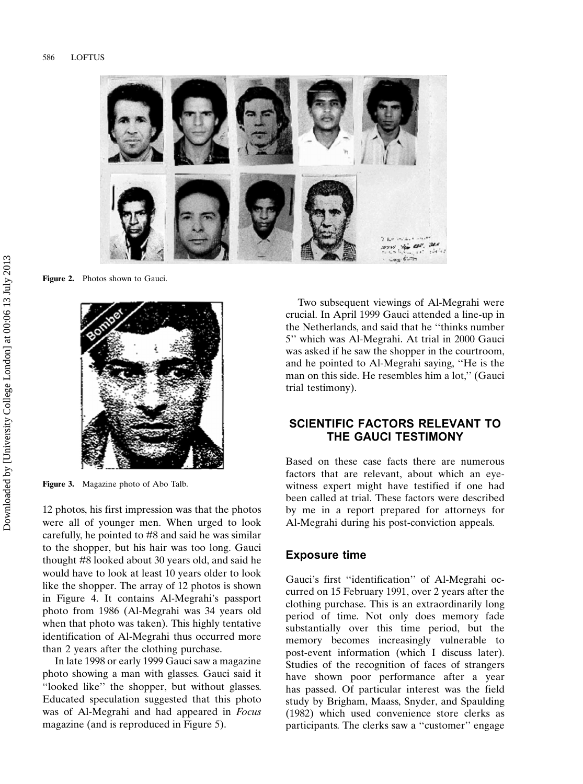

Figure 2. Photos shown to Gauci.



Figure 3. Magazine photo of Abo Talb.

12 photos, his first impression was that the photos were all of younger men. When urged to look carefully, he pointed to #8 and said he was similar to the shopper, but his hair was too long. Gauci thought #8 looked about 30 years old, and said he would have to look at least 10 years older to look like the shopper. The array of 12 photos is shown in Figure 4. It contains Al-Megrahi's passport photo from 1986 (Al-Megrahi was 34 years old when that photo was taken). This highly tentative identification of Al-Megrahi thus occurred more than 2 years after the clothing purchase.

In late 1998 or early 1999 Gauci saw a magazine photo showing a man with glasses. Gauci said it "looked like" the shopper, but without glasses. Educated speculation suggested that this photo was of Al-Megrahi and had appeared in *Focus* magazine (and is reproduced in Figure 5).

Two subsequent viewings of Al-Megrahi were crucial. In April 1999 Gauci attended a line-up in the Netherlands, and said that he ''thinks number 5'' which was Al-Megrahi. At trial in 2000 Gauci was asked if he saw the shopper in the courtroom, and he pointed to Al-Megrahi saying, ''He is the man on this side. He resembles him a lot,'' (Gauci trial testimony).

## SCIENTIFIC FACTORS RELEVANT TO THE GAUCI TESTIMONY

Based on these case facts there are numerous factors that are relevant, about which an eyewitness expert might have testified if one had been called at trial. These factors were described by me in a report prepared for attorneys for Al-Megrahi during his post-conviction appeals.

#### Exposure time

Gauci's first ''identification'' of Al-Megrahi occurred on 15 February 1991, over 2 years after the clothing purchase. This is an extraordinarily long period of time. Not only does memory fade substantially over this time period, but the memory becomes increasingly vulnerable to post-event information (which I discuss later). Studies of the recognition of faces of strangers have shown poor performance after a year has passed. Of particular interest was the field study by Brigham, Maass, Snyder, and Spaulding (1982) which used convenience store clerks as participants. The clerks saw a ''customer'' engage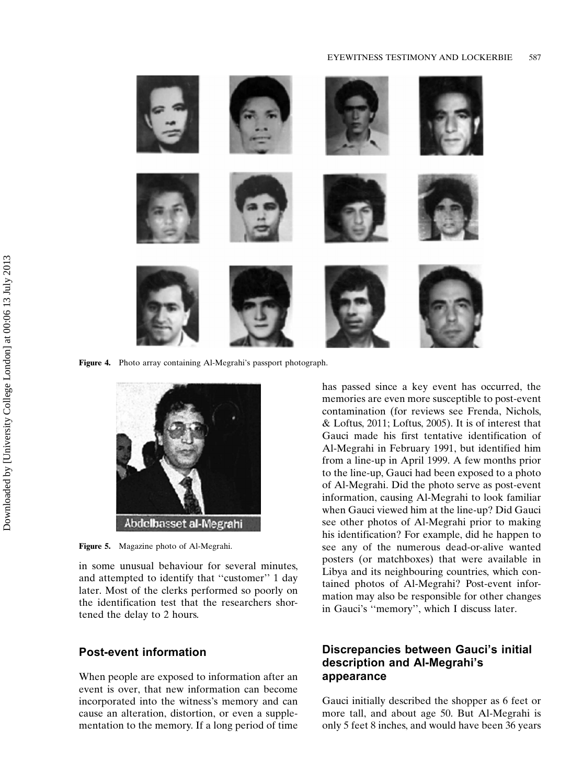

Figure 4. Photo array containing Al-Megrahi's passport photograph.



Figure 5. Magazine photo of Al-Megrahi.

in some unusual behaviour for several minutes, and attempted to identify that ''customer'' 1 day later. Most of the clerks performed so poorly on the identification test that the researchers shortened the delay to 2 hours.

## Post-event information

When people are exposed to information after an event is over, that new information can become incorporated into the witness's memory and can cause an alteration, distortion, or even a supplementation to the memory. If a long period of time has passed since a key event has occurred, the memories are even more susceptible to post-event contamination (for reviews see Frenda, Nichols, & Loftus, 2011; Loftus, 2005). It is of interest that Gauci made his first tentative identification of Al-Megrahi in February 1991, but identified him from a line-up in April 1999. A few months prior to the line-up, Gauci had been exposed to a photo of Al-Megrahi. Did the photo serve as post-event information, causing Al-Megrahi to look familiar when Gauci viewed him at the line-up? Did Gauci see other photos of Al-Megrahi prior to making his identification? For example, did he happen to see any of the numerous dead-or-alive wanted posters (or matchboxes) that were available in Libya and its neighbouring countries, which contained photos of Al-Megrahi? Post-event information may also be responsible for other changes in Gauci's ''memory'', which I discuss later.

## Discrepancies between Gauci's initial description and Al-Megrahi's appearance

Gauci initially described the shopper as 6 feet or more tall, and about age 50. But Al-Megrahi is only 5 feet 8 inches, and would have been 36 years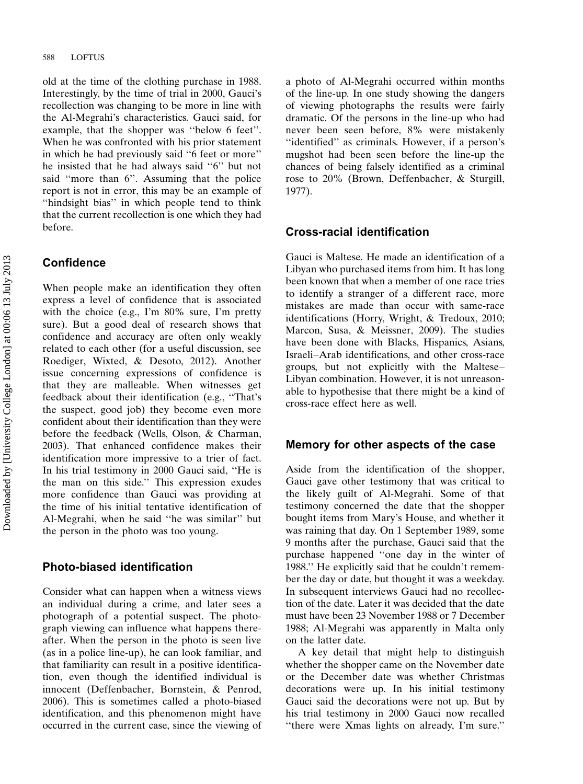old at the time of the clothing purchase in 1988. Interestingly, by the time of trial in 2000, Gauci's recollection was changing to be more in line with the Al-Megrahi's characteristics. Gauci said, for example, that the shopper was ''below 6 feet''. When he was confronted with his prior statement in which he had previously said ''6 feet or more'' he insisted that he had always said ''6'' but not said ''more than 6''. Assuming that the police report is not in error, this may be an example of "hindsight bias" in which people tend to think that the current recollection is one which they had before.

## **Confidence**

When people make an identification they often express a level of confidence that is associated with the choice (e.g., I'm 80% sure, I'm pretty sure). But a good deal of research shows that confidence and accuracy are often only weakly related to each other (for a useful discussion, see Roediger, Wixted, & Desoto, 2012). Another issue concerning expressions of confidence is that they are malleable. When witnesses get feedback about their identification (e.g., ''That's the suspect, good job) they become even more confident about their identification than they were before the feedback (Wells, Olson, & Charman, 2003). That enhanced confidence makes their identification more impressive to a trier of fact. In his trial testimony in 2000 Gauci said, ''He is the man on this side.'' This expression exudes more confidence than Gauci was providing at the time of his initial tentative identification of Al-Megrahi, when he said ''he was similar'' but the person in the photo was too young.

#### Photo-biased identification

Consider what can happen when a witness views an individual during a crime, and later sees a photograph of a potential suspect. The photograph viewing can influence what happens thereafter. When the person in the photo is seen live (as in a police line-up), he can look familiar, and that familiarity can result in a positive identification, even though the identified individual is innocent (Deffenbacher, Bornstein, & Penrod, 2006). This is sometimes called a photo-biased identification, and this phenomenon might have occurred in the current case, since the viewing of a photo of Al-Megrahi occurred within months of the line-up. In one study showing the dangers of viewing photographs the results were fairly dramatic. Of the persons in the line-up who had never been seen before, 8% were mistakenly ''identified'' as criminals. However, if a person's mugshot had been seen before the line-up the chances of being falsely identified as a criminal rose to 20% (Brown, Deffenbacher, & Sturgill, 1977).

### Cross-racial identification

Gauci is Maltese. He made an identification of a Libyan who purchased items from him. It has long been known that when a member of one race tries to identify a stranger of a different race, more mistakes are made than occur with same-race identifications (Horry, Wright, & Tredoux, 2010; Marcon, Susa, & Meissner, 2009). The studies have been done with Blacks, Hispanics, Asians, Israeli–Arab identifications, and other cross-race groups, but not explicitly with the Maltese Libyan combination. However, it is not unreasonable to hypothesise that there might be a kind of cross-race effect here as well.

#### Memory for other aspects of the case

Aside from the identification of the shopper, Gauci gave other testimony that was critical to the likely guilt of Al-Megrahi. Some of that testimony concerned the date that the shopper bought items from Mary's House, and whether it was raining that day. On 1 September 1989, some 9 months after the purchase, Gauci said that the purchase happened ''one day in the winter of 1988.'' He explicitly said that he couldn't remember the day or date, but thought it was a weekday. In subsequent interviews Gauci had no recollection of the date. Later it was decided that the date must have been 23 November 1988 or 7 December 1988; Al-Megrahi was apparently in Malta only on the latter date.

A key detail that might help to distinguish whether the shopper came on the November date or the December date was whether Christmas decorations were up. In his initial testimony Gauci said the decorations were not up. But by his trial testimony in 2000 Gauci now recalled ''there were Xmas lights on already, I'm sure.''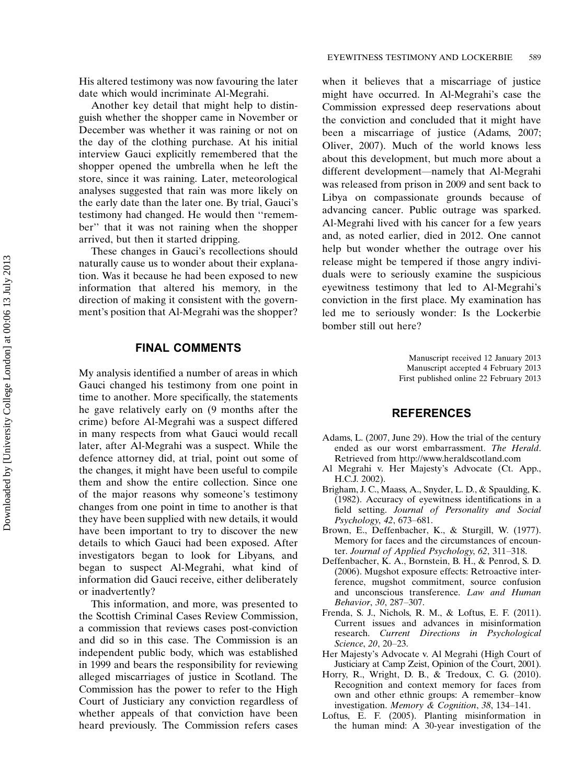His altered testimony was now favouring the later date which would incriminate Al-Megrahi.

Another key detail that might help to distinguish whether the shopper came in November or December was whether it was raining or not on the day of the clothing purchase. At his initial interview Gauci explicitly remembered that the shopper opened the umbrella when he left the store, since it was raining. Later, meteorological analyses suggested that rain was more likely on the early date than the later one. By trial, Gauci's testimony had changed. He would then ''remember'' that it was not raining when the shopper arrived, but then it started dripping.

These changes in Gauci's recollections should naturally cause us to wonder about their explanation. Was it because he had been exposed to new information that altered his memory, in the direction of making it consistent with the government's position that Al-Megrahi was the shopper?

#### FINAL COMMENTS

My analysis identified a number of areas in which Gauci changed his testimony from one point in time to another. More specifically, the statements he gave relatively early on (9 months after the crime) before Al-Megrahi was a suspect differed in many respects from what Gauci would recall later, after Al-Megrahi was a suspect. While the defence attorney did, at trial, point out some of the changes, it might have been useful to compile them and show the entire collection. Since one of the major reasons why someone's testimony changes from one point in time to another is that they have been supplied with new details, it would have been important to try to discover the new details to which Gauci had been exposed. After investigators began to look for Libyans, and began to suspect Al-Megrahi, what kind of information did Gauci receive, either deliberately or inadvertently?

This information, and more, was presented to the Scottish Criminal Cases Review Commission, a commission that reviews cases post-conviction and did so in this case. The Commission is an independent public body, which was established in 1999 and bears the responsibility for reviewing alleged miscarriages of justice in Scotland. The Commission has the power to refer to the High Court of Justiciary any conviction regardless of whether appeals of that conviction have been heard previously. The Commission refers cases

when it believes that a miscarriage of justice might have occurred. In Al-Megrahi's case the Commission expressed deep reservations about the conviction and concluded that it might have been a miscarriage of justice (Adams, 2007; Oliver, 2007). Much of the world knows less about this development, but much more about a different development—namely that Al-Megrahi was released from prison in 2009 and sent back to Libya on compassionate grounds because of advancing cancer. Public outrage was sparked. Al-Megrahi lived with his cancer for a few years and, as noted earlier, died in 2012. One cannot help but wonder whether the outrage over his release might be tempered if those angry individuals were to seriously examine the suspicious eyewitness testimony that led to Al-Megrahi's conviction in the first place. My examination has led me to seriously wonder: Is the Lockerbie bomber still out here?

> Manuscript received 12 January 2013 Manuscript accepted 4 February 2013 First published online 22 February 2013

#### REFERENCES

- Adams, L. (2007, June 29). How the trial of the century ended as our worst embarrassment. The Herald. Retrieved from<http://www.heraldscotland.com>
- Al Megrahi v. Her Majesty's Advocate (Ct. App., H.C.J. 2002).
- Brigham, J. C., Maass, A., Snyder, L. D., & Spaulding, K. (1982). Accuracy of eyewitness identifications in a field setting. Journal of Personality and Social Psychology, 42, 673-681.
- Brown, E., Deffenbacher, K., & Sturgill, W. (1977). Memory for faces and the circumstances of encounter. Journal of Applied Psychology, 62, 311-318.
- Deffenbacher, K. A., Bornstein, B. H., & Penrod, S. D. (2006). Mugshot exposure effects: Retroactive interference, mugshot commitment, source confusion and unconscious transference. Law and Human Behavior, 30, 287-307.
- Frenda, S. J., Nichols, R. M., & Loftus, E. F. (2011). Current issues and advances in misinformation research. Current Directions in Psychological Science, 20, 20-23.
- Her Majesty's Advocate v. Al Megrahi (High Court of Justiciary at Camp Zeist, Opinion of the Court, 2001).
- Horry, R., Wright, D. B., & Tredoux, C. G. (2010). Recognition and context memory for faces from own and other ethnic groups: A remember-know investigation. Memory & Cognition, 38, 134-141.
- Loftus, E. F. (2005). Planting misinformation in the human mind: A 30-year investigation of the